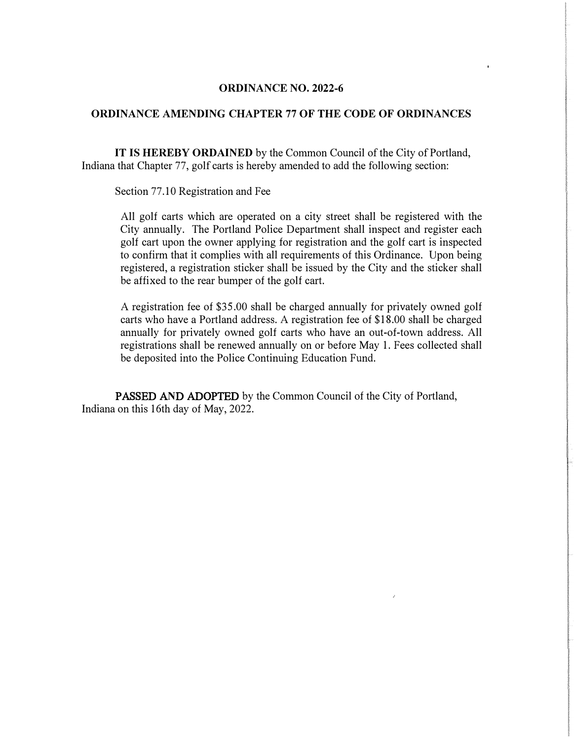## **ORDINANCE NO. 2022-6**

# **ORDINANCE AMENDING CHAPTER** 77 **OF THE CODE OF ORDINANCES**

**IT IS HEREBY ORDAINED** by the Common Council of the City of Portland, Indiana that Chapter 77, golf carts is hereby amended to add the following section:

Section 77.10 Registration and Fee

All golf carts which are operated on a city street shall be registered with the City annually. The Portland Police Department shall inspect and register each golf cart upon the owner applying for registration and the golf cart is inspected to confirm that it complies with all requirements of this Ordinance. Upon being registered, a registration sticker shall be issued by the City and the sticker shall be affixed to the rear bumper of the golf cart.

A registration fee of \$35.00 shall be charged annually for privately owned golf carts who have a Portland address. A registration fee of \$18.00 shall be charged annually for privately owned golf carts who have an out-of-town address. All registrations shall be renewed annually on or before May 1. Fees collected shall be deposited into the Police Continuing Education Fund.

PASSED A**N**D ADOPTED by the Common Council of the City of Portland, Indiana on this 16th day of May, 2022.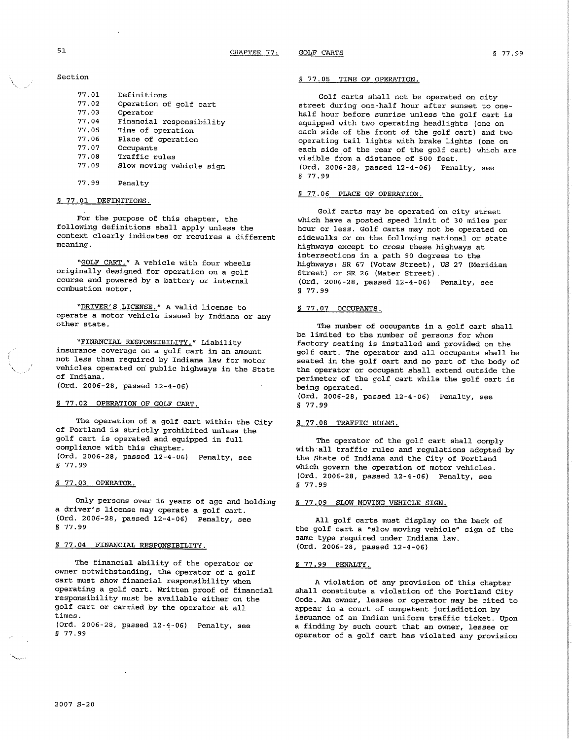#### Section

| 77.01 | Definitions              |
|-------|--------------------------|
| 77.02 | Operation of golf cart   |
| 77.03 | Operator                 |
| 77.04 | Financial responsibility |
| 77.05 | Time of operation        |
| 77.06 | Place of operation       |
| 77.07 | Occupants                |
| 77.08 | Traffic rules            |
| 77.09 | Slow moving vehicle sign |
|       |                          |

77.99 Penalty

## § 77.01 DEFINITIONS.

For the purpose of this chapter, the following definitions shall apply unless the context clearly indicates or requires a different meaning.

"GOLF CART." A vehicle with four wheels originally designed for operation on a golf course and powered by a battery or internal combustion motor.

"DRIVER'S LICENSE." A valid license to operate a motor vehicle issued by Indiana or any other state.

"FINANCIAL RESPONSIBILITY." Liability insurance coverage on a golf cart in an amount not less than required by Indiana law for motor vehicles operated on public highways in the State of Indiana.

(Ord. 2006-28, passed 12-4-06)

### § 77.02 OPERATION OF GOLF CART.

The operation of a golf cart within the City of Portland is strictly prohibited unless the golf cart is operated and equipped in full compliance with this chapter. (Ord. 2006-28, passed 12-4-06) Penalty, see \$77.99

## § 77.03 OPERATOR.

Only persons over 16 years of age and holding a driver's license may operate a golf cart. (Ord. 2006-28, passed 12-4-06) Penalty, see S 77.99

## S 77.04 FINANCIAL RESPONSIBILITY.

The financial ability of the operator or owner notwithstanding, the operator of a golf cart must show financial responsibility when operating a golf cart. Written proof of financial responsibility must be available either on the golf cart or carried by the operator at all times.

(Ord. 2006-28, passed 12-4-06) Penalty, see \$77.99

#### § 77.05 TIME OF OPERATION.

Golf carts shall not be operated on city street during one-half hour after sunset to onehalf hour before sunrise unless the golf cart is equipped with two operating headlights (one on each side of the front of the golf cart) and two operating tail lights with brake lights (one on each side of the rear of the golf cart) which are visible from a distance of 500 feet. (Ord. 2006-28, passed 12-4-06) Penalty, see § 77.99

#### § 77.06 PLACE OF OPERATION.

Golf carts may be operated on city street which have a posted speed limit of 30 miles per hour or less. Golf carts may not be operated on sidewalks or on the following national or state highways except to cross these highways at intersections in a path 90 degrees to the highways: SR 67 (Votaw Street), US 27 (Meridian Street) or SR 26 (Water Street). (Ord. 2006-28, passed 12-4-06) Penalty, see \$77.99

## § 77.07 OCCUPANTS.

The number of occupants in a golf cart shall be limited to the number of persons for whom factory seating is installed and provided on the golf cart. The operator and all occupants shall be seated in the golf cart and no part of the body of the operator or occupant shall extend outside the perimeter of the golf cart while the golf cart is being operated.

(Ord. 2006-28, passed 12-4-06) Penalty, see  $$77.99$ 

## § 77.08 TRAFFIC RULES.

The operator of the golf cart shall comply with all traffic rules and regulations adopted by the State of Indiana and the City of Portland which govern the operation of motor vehicles. (Ord. 2006-28, passed 12-4-06) Penalty, see § 77.99

## § 77.09 SLOW MOVING VEHICLE SIGN.

All golf carts must display on the back of the golf cart a "slow moving vehicle" sign of the same type required under Indiana law. (Ord. 2006-28, passed 12-4-06)

#### S 77.99 PENALTY.

A violation of any provision of this chapter shall constitute a violation of the Portland City Code. An owner, lessee or operator may be cited to appear in a court of competent jurisdiction by issuance of an Indian uniform traffic ticket. Upon a finding by such court that an owner, lessee or operator of a golf cart has violated any provision